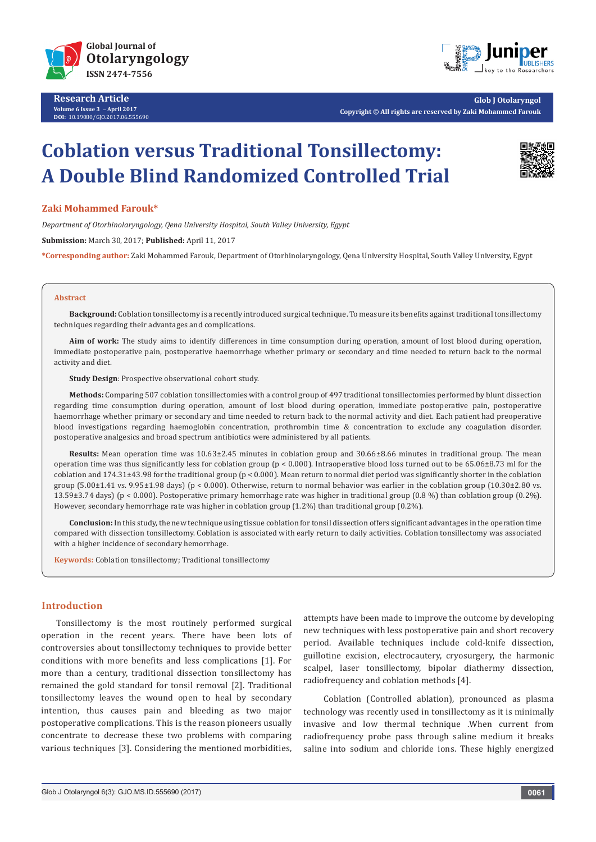

**Research Article Volume 6 Issue 3** - **April 2017 DOI:** [10.19080/GJO.2017.06.555690](http://dx.doi.org/10.19080/GJO.2017.06.555690)



**Glob J Otolaryngol Copyright © All rights are reserved by Zaki Mohammed Farouk**

# **Coblation versus Traditional Tonsillectomy: A Double Blind Randomized Controlled Trial**



## **Zaki Mohammed Farouk\***

*Department of Otorhinolaryngology, Qena University Hospital, South Valley University, Egypt*

**Submission:** March 30, 2017; **Published:** April 11, 2017

**\*Corresponding author:** Zaki Mohammed Farouk, Department of Otorhinolaryngology, Qena University Hospital, South Valley University, Egypt

#### **Abstract**

**Background:** Coblation tonsillectomy is a recently introduced surgical technique. To measure its benefits against traditional tonsillectomy techniques regarding their advantages and complications.

**Aim of work:** The study aims to identify differences in time consumption during operation, amount of lost blood during operation, immediate postoperative pain, postoperative haemorrhage whether primary or secondary and time needed to return back to the normal activity and diet.

**Study Design**: Prospective observational cohort study.

**Methods:** Comparing 507 coblation tonsillectomies with a control group of 497 traditional tonsillectomies performed by blunt dissection regarding time consumption during operation, amount of lost blood during operation, immediate postoperative pain, postoperative haemorrhage whether primary or secondary and time needed to return back to the normal activity and diet. Each patient had preoperative blood investigations regarding haemoglobin concentration, prothrombin time & concentration to exclude any coagulation disorder. postoperative analgesics and broad spectrum antibiotics were administered by all patients.

**Results:** Mean operation time was 10.63±2.45 minutes in coblation group and 30.66±8.66 minutes in traditional group. The mean operation time was thus significantly less for coblation group (p < 0.000). Intraoperative blood loss turned out to be 65.06±8.73 ml for the coblation and  $174.31\pm43.98$  for the traditional group ( $p < 0.000$ ). Mean return to normal diet period was significantly shorter in the coblation group  $(5.00\pm1.41 \text{ vs. } 9.95\pm1.98 \text{ days})$  (p < 0.000). Otherwise, return to normal behavior was earlier in the coblation group  $(10.30\pm2.80 \text{ vs. } 10.00\pm0.000)$ 13.59±3.74 days) (p < 0.000). Postoperative primary hemorrhage rate was higher in traditional group (0.8 %) than coblation group (0.2%). However, secondary hemorrhage rate was higher in coblation group (1.2%) than traditional group (0.2%).

**Conclusion:** In this study, the new technique using tissue coblation for tonsil dissection offers significant advantages in the operation time compared with dissection tonsillectomy. Coblation is associated with early return to daily activities. Coblation tonsillectomy was associated with a higher incidence of secondary hemorrhage.

**Keywords:** Coblation tonsillectomy; Traditional tonsillectomy

## **Introduction**

Tonsillectomy is the most routinely performed surgical operation in the recent years. There have been lots of controversies about tonsillectomy techniques to provide better conditions with more benefits and less complications [1]. For more than a century, traditional dissection tonsillectomy has remained the gold standard for tonsil removal [2]. Traditional tonsillectomy leaves the wound open to heal by secondary intention, thus causes pain and bleeding as two major postoperative complications. This is the reason pioneers usually concentrate to decrease these two problems with comparing various techniques [3]. Considering the mentioned morbidities, attempts have been made to improve the outcome by developing new techniques with less postoperative pain and short recovery period. Available techniques include cold-knife dissection, guillotine excision, electrocautery, cryosurgery, the harmonic scalpel, laser tonsillectomy, bipolar diathermy dissection, radiofrequency and coblation methods [4].

 Coblation (Controlled ablation), pronounced as plasma technology was recently used in tonsillectomy as it is minimally invasive and low thermal technique .When current from radiofrequency probe pass through saline medium it breaks saline into sodium and chloride ions. These highly energized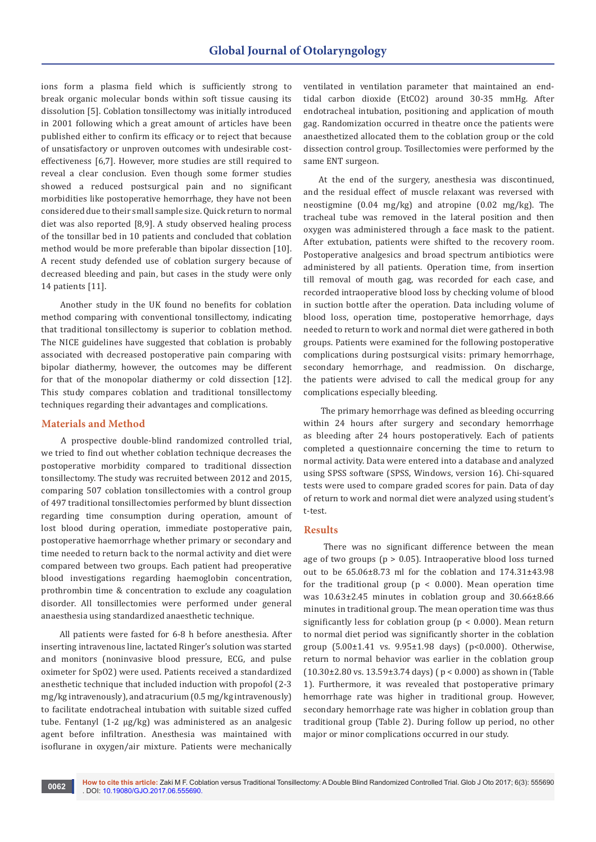ions form a plasma field which is sufficiently strong to break organic molecular bonds within soft tissue causing its dissolution [5]. Coblation tonsillectomy was initially introduced in 2001 following which a great amount of articles have been published either to confirm its efficacy or to reject that because of unsatisfactory or unproven outcomes with undesirable costeffectiveness [6,7]. However, more studies are still required to reveal a clear conclusion. Even though some former studies showed a reduced postsurgical pain and no significant morbidities like postoperative hemorrhage, they have not been considered due to their small sample size. Quick return to normal diet was also reported [8,9]. A study observed healing process of the tonsillar bed in 10 patients and concluded that coblation method would be more preferable than bipolar dissection [10]. A recent study defended use of coblation surgery because of decreased bleeding and pain, but cases in the study were only 14 patients [11].

 Another study in the UK found no benefits for coblation method comparing with conventional tonsillectomy, indicating that traditional tonsillectomy is superior to coblation method. The NICE guidelines have suggested that coblation is probably associated with decreased postoperative pain comparing with bipolar diathermy, however, the outcomes may be different for that of the monopolar diathermy or cold dissection [12]. This study compares coblation and traditional tonsillectomy techniques regarding their advantages and complications.

## **Materials and Method**

 A prospective double-blind randomized controlled trial, we tried to find out whether coblation technique decreases the postoperative morbidity compared to traditional dissection tonsillectomy. The study was recruited between 2012 and 2015, comparing 507 coblation tonsillectomies with a control group of 497 traditional tonsillectomies performed by blunt dissection regarding time consumption during operation, amount of lost blood during operation, immediate postoperative pain, postoperative haemorrhage whether primary or secondary and time needed to return back to the normal activity and diet were compared between two groups. Each patient had preoperative blood investigations regarding haemoglobin concentration, prothrombin time & concentration to exclude any coagulation disorder. All tonsillectomies were performed under general anaesthesia using standardized anaesthetic technique.

 All patients were fasted for 6-8 h before anesthesia. After inserting intravenous line, lactated Ringer's solution was started and monitors (noninvasive blood pressure, ECG, and pulse oximeter for SpO2) were used. Patients received a standardized anesthetic technique that included induction with propofol (2-3 mg/kg intravenously), and atracurium (0.5 mg/kg intravenously) to facilitate endotracheal intubation with suitable sized cuffed tube. Fentanyl (1-2 μg/kg) was administered as an analgesic agent before infiltration. Anesthesia was maintained with isoflurane in oxygen/air mixture. Patients were mechanically

ventilated in ventilation parameter that maintained an endtidal carbon dioxide (EtCO2) around 30-35 mmHg. After endotracheal intubation, positioning and application of mouth gag. Randomization occurred in theatre once the patients were anaesthetized allocated them to the coblation group or the cold dissection control group. Tosillectomies were performed by the same ENT surgeon.

At the end of the surgery, anesthesia was discontinued, and the residual effect of muscle relaxant was reversed with neostigmine (0.04 mg/kg) and atropine (0.02 mg/kg). The tracheal tube was removed in the lateral position and then oxygen was administered through a face mask to the patient. After extubation, patients were shifted to the recovery room. Postoperative analgesics and broad spectrum antibiotics were administered by all patients. Operation time, from insertion till removal of mouth gag, was recorded for each case, and recorded intraoperative blood loss by checking volume of blood in suction bottle after the operation. Data including volume of blood loss, operation time, postoperative hemorrhage, days needed to return to work and normal diet were gathered in both groups. Patients were examined for the following postoperative complications during postsurgical visits: primary hemorrhage, secondary hemorrhage, and readmission. On discharge, the patients were advised to call the medical group for any complications especially bleeding.

 The primary hemorrhage was defined as bleeding occurring within 24 hours after surgery and secondary hemorrhage as bleeding after 24 hours postoperatively. Each of patients completed a questionnaire concerning the time to return to normal activity. Data were entered into a database and analyzed using SPSS software (SPSS, Windows, version 16). Chi-squared tests were used to compare graded scores for pain. Data of day of return to work and normal diet were analyzed using student's t-test.

#### **Results**

 There was no significant difference between the mean age of two groups ( $p > 0.05$ ). Intraoperative blood loss turned out to be 65.06±8.73 ml for the coblation and 174.31±43.98 for the traditional group ( $p < 0.000$ ). Mean operation time was 10.63±2.45 minutes in coblation group and 30.66±8.66 minutes in traditional group. The mean operation time was thus significantly less for coblation group ( $p < 0.000$ ). Mean return to normal diet period was significantly shorter in the coblation group (5.00±1.41 vs. 9.95±1.98 days) (p<0.000). Otherwise, return to normal behavior was earlier in the coblation group (10.30±2.80 vs. 13.59±3.74 days) ( p < 0.000) as shown in (Table 1). Furthermore, it was revealed that postoperative primary hemorrhage rate was higher in traditional group. However, secondary hemorrhage rate was higher in coblation group than traditional group (Table 2). During follow up period, no other major or minor complications occurred in our study.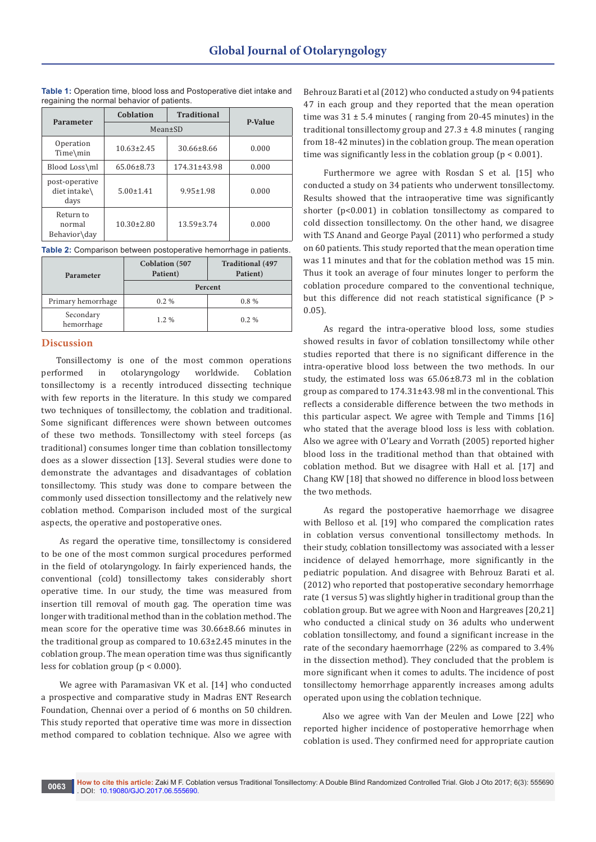| Parameter                              | Coblation        | <b>Traditional</b> | <b>P-Value</b> |
|----------------------------------------|------------------|--------------------|----------------|
|                                        | Mean±SD          |                    |                |
| Operation<br>Time\min                  | $10.63 \pm 2.45$ | $30.66 \pm 8.66$   | 0.000          |
| Blood Loss\ml                          | 65.06±8.73       | $174.31 \pm 43.98$ | 0.000          |
| post-operative<br>diet intake\<br>days | $5.00 \pm 1.41$  | $9.95 \pm 1.98$    | 0.000          |
| Return to<br>normal<br>Behavior\day    | $10.30 \pm 2.80$ | $13.59 \pm 3.74$   | 0.000          |

**Table 1:** Operation time, blood loss and Postoperative diet intake and regaining the normal behavior of patients.

|  |  | Table 2: Comparison between postoperative hemorrhage in patients. |
|--|--|-------------------------------------------------------------------|
|--|--|-------------------------------------------------------------------|

| Parameter               | <b>Coblation</b> (507<br>Patient) | <b>Traditional</b> (497<br>Patient) |  |
|-------------------------|-----------------------------------|-------------------------------------|--|
|                         | Percent                           |                                     |  |
| Primary hemorrhage      | $0.2\%$                           | $0.8\%$                             |  |
| Secondary<br>hemorrhage | $1.2\%$                           | $0.2\%$                             |  |

## **Discussion**

Tonsillectomy is one of the most common operations performed in otolaryngology worldwide. Coblation tonsillectomy is a recently introduced dissecting technique with few reports in the literature. In this study we compared two techniques of tonsillectomy, the coblation and traditional. Some significant differences were shown between outcomes of these two methods. Tonsillectomy with steel forceps (as traditional) consumes longer time than coblation tonsillectomy does as a slower dissection [13]. Several studies were done to demonstrate the advantages and disadvantages of coblation tonsillectomy. This study was done to compare between the commonly used dissection tonsillectomy and the relatively new coblation method. Comparison included most of the surgical aspects, the operative and postoperative ones.

 As regard the operative time, tonsillectomy is considered to be one of the most common surgical procedures performed in the field of otolaryngology. In fairly experienced hands, the conventional (cold) tonsillectomy takes considerably short operative time. In our study, the time was measured from insertion till removal of mouth gag. The operation time was longer with traditional method than in the coblation method. The mean score for the operative time was 30.66±8.66 minutes in the traditional group as compared to 10.63±2.45 minutes in the coblation group. The mean operation time was thus significantly less for coblation group ( $p < 0.000$ ).

 We agree with Paramasivan VK et al. [14] who conducted a prospective and comparative study in Madras ENT Research Foundation, Chennai over a period of 6 months on 50 children. This study reported that operative time was more in dissection method compared to coblation technique. Also we agree with

Behrouz Barati et al (2012) who conducted a study on 94 patients 47 in each group and they reported that the mean operation time was  $31 \pm 5.4$  minutes (ranging from 20-45 minutes) in the traditional tonsillectomy group and  $27.3 \pm 4.8$  minutes (ranging from 18-42 minutes) in the coblation group. The mean operation time was significantly less in the coblation group ( $p < 0.001$ ).

 Furthermore we agree with Rosdan S et al. [15] who conducted a study on 34 patients who underwent tonsillectomy. Results showed that the intraoperative time was significantly shorter (p<0.001) in coblation tonsillectomy as compared to cold dissection tonsillectomy. On the other hand, we disagree with T.S Anand and George Payal (2011) who performed a study on 60 patients. This study reported that the mean operation time was 11 minutes and that for the coblation method was 15 min. Thus it took an average of four minutes longer to perform the coblation procedure compared to the conventional technique, but this difference did not reach statistical significance (P > 0.05).

 As regard the intra-operative blood loss, some studies showed results in favor of coblation tonsillectomy while other studies reported that there is no significant difference in the intra-operative blood loss between the two methods. In our study, the estimated loss was 65.06±8.73 ml in the coblation group as compared to 174.31±43.98 ml in the conventional. This reflects a considerable difference between the two methods in this particular aspect. We agree with Temple and Timms [16] who stated that the average blood loss is less with coblation. Also we agree with O'Leary and Vorrath (2005) reported higher blood loss in the traditional method than that obtained with coblation method. But we disagree with Hall et al. [17] and Chang KW [18] that showed no difference in blood loss between the two methods.

 As regard the postoperative haemorrhage we disagree with Belloso et al. [19] who compared the complication rates in coblation versus conventional tonsillectomy methods. In their study, coblation tonsillectomy was associated with a lesser incidence of delayed hemorrhage, more significantly in the pediatric population. And disagree with Behrouz Barati et al. (2012) who reported that postoperative secondary hemorrhage rate (1 versus 5) was slightly higher in traditional group than the coblation group. But we agree with Noon and Hargreaves [20,21] who conducted a clinical study on 36 adults who underwent coblation tonsillectomy, and found a significant increase in the rate of the secondary haemorrhage (22% as compared to 3.4% in the dissection method). They concluded that the problem is more significant when it comes to adults. The incidence of post tonsillectomy hemorrhage apparently increases among adults operated upon using the coblation technique.

 Also we agree with Van der Meulen and Lowe [22] who reported higher incidence of postoperative hemorrhage when coblation is used. They confirmed need for appropriate caution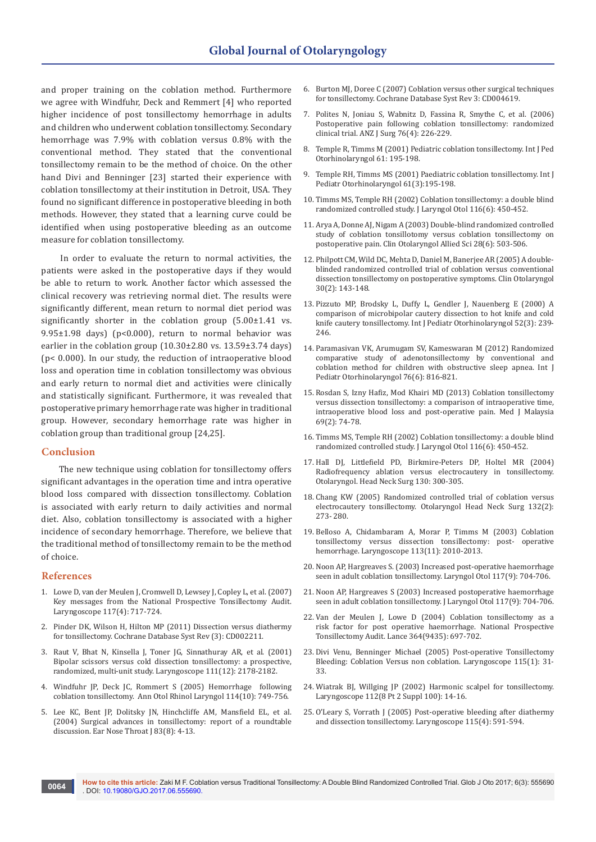and proper training on the coblation method. Furthermore we agree with Windfuhr, Deck and Remmert [4] who reported higher incidence of post tonsillectomy hemorrhage in adults and children who underwent coblation tonsillectomy. Secondary hemorrhage was 7.9% with coblation versus 0.8% with the conventional method. They stated that the conventional tonsillectomy remain to be the method of choice. On the other hand Divi and Benninger [23] started their experience with coblation tonsillectomy at their institution in Detroit, USA. They found no significant difference in postoperative bleeding in both methods. However, they stated that a learning curve could be identified when using postoperative bleeding as an outcome measure for coblation tonsillectomy.

 In order to evaluate the return to normal activities, the patients were asked in the postoperative days if they would be able to return to work. Another factor which assessed the clinical recovery was retrieving normal diet. The results were significantly different, mean return to normal diet period was significantly shorter in the coblation group (5.00±1.41 vs. 9.95±1.98 days) (p<0.000), return to normal behavior was earlier in the coblation group  $(10.30\pm2.80 \text{ vs. } 13.59\pm3.74 \text{ days})$ (p< 0.000). In our study, the reduction of intraoperative blood loss and operation time in coblation tonsillectomy was obvious and early return to normal diet and activities were clinically and statistically significant. Furthermore, it was revealed that postoperative primary hemorrhage rate was higher in traditional group. However, secondary hemorrhage rate was higher in coblation group than traditional group [24,25].

## **Conclusion**

 The new technique using coblation for tonsillectomy offers significant advantages in the operation time and intra operative blood loss compared with dissection tonsillectomy. Coblation is associated with early return to daily activities and normal diet. Also, coblation tonsillectomy is associated with a higher incidence of secondary hemorrhage. Therefore, we believe that the traditional method of tonsillectomy remain to be the method of choice.

#### **References**

- 1. [Lowe D, van der Meulen J, Cromwell D, Lewsey J, Copley L, et al. \(2007\)](https://www.ncbi.nlm.nih.gov/pubmed/17415144)  [Key messages from the National Prospective Tonsillectomy Audit.](https://www.ncbi.nlm.nih.gov/pubmed/17415144)  [Laryngoscope 117\(4\): 717-724.](https://www.ncbi.nlm.nih.gov/pubmed/17415144)
- 2. [Pinder DK, Wilson H, Hilton MP \(2011\) Dissection versus diathermy](https://www.ncbi.nlm.nih.gov/pubmed/21412878)  for tonsillectomy. [Cochrane Database Syst Rev \(3\): CD002211.](https://www.ncbi.nlm.nih.gov/pubmed/21412878)
- 3. [Raut V, Bhat N, Kinsella J, Toner JG, Sinnathuray AR, et al. \(2001\)](https://www.ncbi.nlm.nih.gov/pubmed/11802021)  [Bipolar scissors versus cold dissection tonsillectomy: a prospective,](https://www.ncbi.nlm.nih.gov/pubmed/11802021)  [randomized, multi-unit study. Laryngoscope 111\(12\): 2178-2182.](https://www.ncbi.nlm.nih.gov/pubmed/11802021)
- 4. [Windfuhr JP, Deck JC, Rommert S \(2005\) Hemorrhage following](https://www.ncbi.nlm.nih.gov/pubmed/16285264)  [coblation tonsillectomy. Ann Otol Rhinol Laryngol 114\(10\): 749-756.](https://www.ncbi.nlm.nih.gov/pubmed/16285264)
- 5. [Lee KC, Bent JP, Dolitsky JN, Hinchcliffe AM, Mansfield EL, et al.](https://www.ncbi.nlm.nih.gov/pubmed/15485055)  [\(2004\) Surgical advances in tonsillectomy: report of a roundtable](https://www.ncbi.nlm.nih.gov/pubmed/15485055)  discussion. [Ear Nose Throat J 83\(8\): 4-13.](https://www.ncbi.nlm.nih.gov/pubmed/15485055)
- 6. [Burton MJ, Doree C \(2007\) Coblation versus other surgical techniques](https://www.ncbi.nlm.nih.gov/pubmed/17636769)  for tonsillectomy. [Cochrane Database Syst Rev 3: CD004619.](https://www.ncbi.nlm.nih.gov/pubmed/17636769)
- 7. [Polites N, Joniau S, Wabnitz D, Fassina R, Smythe C, et al. \(2006\)](https://www.ncbi.nlm.nih.gov/pubmed/16681537)  [Postoperative pain following coblation tonsillectomy: randomized](https://www.ncbi.nlm.nih.gov/pubmed/16681537)  clinical trial. [ANZ J Surg 76\(4\): 226-229.](https://www.ncbi.nlm.nih.gov/pubmed/16681537)
- 8. [Temple R, Timms M \(2001\) Pediatric coblation tonsillectomy. Int J Ped](https://www.ncbi.nlm.nih.gov/pubmed/11700188)  [Otorhinolaryngol 61: 195-198.](https://www.ncbi.nlm.nih.gov/pubmed/11700188)
- 9. [Temple RH, Timms MS \(2001\) Paediatric coblation tonsillectomy.](https://www.ncbi.nlm.nih.gov/pubmed/11700188) Int J [Pediatr Otorhinolaryngol 61\(3\):195-198.](https://www.ncbi.nlm.nih.gov/pubmed/11700188)
- 10. [Timms MS, Temple RH \(2002\) Coblation tonsillectomy: a double blind](https://www.ncbi.nlm.nih.gov/pubmed/16111417)  [randomized controlled study. J Laryngol Otol 116\(6\): 450-452.](https://www.ncbi.nlm.nih.gov/pubmed/16111417)
- 11. [Arya A, Donne AJ, Nigam A \(2003\) Double-blind randomized controlled](https://www.ncbi.nlm.nih.gov/pubmed/14616666)  [study of coblation tonsillotomy versus coblation tonsillectomy on](https://www.ncbi.nlm.nih.gov/pubmed/14616666)  postoperative pain. [Clin Otolaryngol Allied Sci 28\(6\): 503-506.](https://www.ncbi.nlm.nih.gov/pubmed/14616666)
- 12. [Philpott CM, Wild DC, Mehta D, Daniel M, Banerjee AR \(2005\) A double](https://www.ncbi.nlm.nih.gov/pubmed/15839866)[blinded randomized controlled trial of coblation versus conventional](https://www.ncbi.nlm.nih.gov/pubmed/15839866)  [dissection tonsillectomy on postoperative symptoms.](https://www.ncbi.nlm.nih.gov/pubmed/15839866) Clin Otolaryngol [30\(2\): 143-148.](https://www.ncbi.nlm.nih.gov/pubmed/15839866)
- 13. [Pizzuto MP, Brodsky L, Duffy L, Gendler J, Nauenberg E \(2000\) A](https://www.ncbi.nlm.nih.gov/pubmed/10841953)  [comparison of microbipolar cautery dissection to hot knife and cold](https://www.ncbi.nlm.nih.gov/pubmed/10841953)  knife cautery tonsillectomy. [Int J Pediatr Otorhinolaryngol 52\(3\): 239-](https://www.ncbi.nlm.nih.gov/pubmed/10841953) [246.](https://www.ncbi.nlm.nih.gov/pubmed/10841953)
- 14. [Paramasivan VK, Arumugam SV, Kameswaran M \(2012\) Randomized](https://www.ncbi.nlm.nih.gov/pubmed/22429513)  [comparative study of adenotonsillectomy by conventional and](https://www.ncbi.nlm.nih.gov/pubmed/22429513)  [coblation method for children with obstructive sleep apnea. Int J](https://www.ncbi.nlm.nih.gov/pubmed/22429513)  [Pediatr Otorhinolaryngol 76\(6\): 816-821.](https://www.ncbi.nlm.nih.gov/pubmed/22429513)
- 15. [Rosdan S, Izny Hafiz, Mod Khairi MD \(2013\) Coblation tonsillectomy](https://www.ncbi.nlm.nih.gov/pubmed/25241816)  [versus dissection tonsillectomy: a comparison of intraoperative time,](https://www.ncbi.nlm.nih.gov/pubmed/25241816)  [intraoperative blood loss and post-operative pain. Med J Malaysia](https://www.ncbi.nlm.nih.gov/pubmed/25241816)  [69\(2\): 74-78.](https://www.ncbi.nlm.nih.gov/pubmed/25241816)
- 16. [Timms MS, Temple RH \(2002\) Coblation tonsillectomy: a double blind](https://www.ncbi.nlm.nih.gov/pubmed/16111417)  [randomized controlled study. J Laryngol Otol 116\(6\): 450-452.](https://www.ncbi.nlm.nih.gov/pubmed/16111417)
- 17. [Hall DJ, Littlefield PD, Birkmire-Peters DP, Holtel MR \(2004\)](https://www.ncbi.nlm.nih.gov/pubmed/15054370)  [Radiofrequency ablation versus electrocautery in tonsillectomy.](https://www.ncbi.nlm.nih.gov/pubmed/15054370)  [Otolaryngol. Head Neck Surg 130: 300-305.](https://www.ncbi.nlm.nih.gov/pubmed/15054370)
- 18. [Chang KW \(2005\) Randomized controlled trial of coblation versus](https://www.ncbi.nlm.nih.gov/pubmed/15692541)  [electrocautery tonsillectomy. Otolaryngol Head Neck Surg 132\(2\):](https://www.ncbi.nlm.nih.gov/pubmed/15692541)  [273- 280.](https://www.ncbi.nlm.nih.gov/pubmed/15692541)
- 19. [Belloso A, Chidambaram A, Morar P, Timms M \(2003\) Coblation](https://www.ncbi.nlm.nih.gov/pubmed/14603065)  [tonsillectomy versus dissection tonsillectomy: post- operative](https://www.ncbi.nlm.nih.gov/pubmed/14603065)  [hemorrhage. Laryngoscope 113\(11\): 2010-2013.](https://www.ncbi.nlm.nih.gov/pubmed/14603065)
- 20. [Noon AP, Hargreaves S. \(2003\) Increased post-operative haemorrhage](https://www.ncbi.nlm.nih.gov/pubmed/14561357)  [seen in adult coblation tonsillectomy. Laryngol Otol 117\(9\): 704-706.](https://www.ncbi.nlm.nih.gov/pubmed/14561357)
- 21. [Noon AP, Hargreaves S \(2003\) Increased postoperative haemorrhage](https://www.ncbi.nlm.nih.gov/pubmed/14561357)  [seen in adult coblation tonsillectomy. J Laryngol Otol 117\(9\): 704-706.](https://www.ncbi.nlm.nih.gov/pubmed/14561357)
- 22. Van der Meulen J, Lowe D (2004) Coblation tonsillectomy as a risk factor for post operative haemorrhage. National Prospective Tonsillectomy Audit. Lance 364(9435): 697-702.
- 23. [Divi Venu, Benninger Michael \(2005\) Post-operative Tonsillectomy](https://www.ncbi.nlm.nih.gov/pubmed/15630361)  [Bleeding: Coblation Versus non coblation. Laryngoscope 115\(1\): 31-](https://www.ncbi.nlm.nih.gov/pubmed/15630361) [33.](https://www.ncbi.nlm.nih.gov/pubmed/15630361)
- 24. [Wiatrak BJ, Willging JP \(2002\) Harmonic scalpel for tonsillectomy.](https://www.ncbi.nlm.nih.gov/pubmed/12172231)  [Laryngoscope 112\(8 Pt 2 Suppl 100\): 14-16.](https://www.ncbi.nlm.nih.gov/pubmed/12172231)
- 25. [O'Leary S, Vorrath J \(2005\) Post-operative bleeding after diathermy](https://www.ncbi.nlm.nih.gov/pubmed/15805865)  [and dissection tonsillectomy. Laryngoscope 115\(4\): 591-594.](https://www.ncbi.nlm.nih.gov/pubmed/15805865)